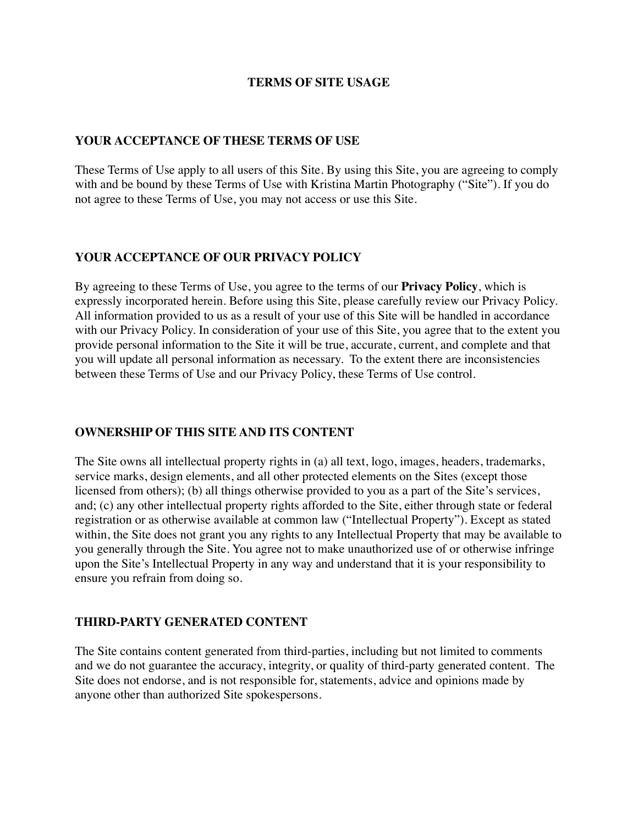### **TERMS OF SITE USAGE**

### **YOUR ACCEPTANCE OF THESE TERMS OF USE**

These Terms of Use apply to all users of this Site. By using this Site, you are agreeing to comply with and be bound by these Terms of Use with Kristina Martin Photography ("Site"). If you do not agree to these Terms of Use, you may not access or use this Site.

# **YOUR ACCEPTANCE OF OUR PRIVACY POLICY**

By agreeing to these Terms of Use, you agree to the terms of our **Privacy Policy**, which is expressly incorporated herein. Before using this Site, please carefully review our Privacy Policy. All information provided to us as a result of your use of this Site will be handled in accordance with our Privacy Policy. In consideration of your use of this Site, you agree that to the extent you provide personal information to the Site it will be true, accurate, current, and complete and that you will update all personal information as necessary. To the extent there are inconsistencies between these Terms of Use and our Privacy Policy, these Terms of Use control.

## **OWNERSHIP OF THIS SITE AND ITS CONTENT**

The Site owns all intellectual property rights in (a) all text, logo, images, headers, trademarks, service marks, design elements, and all other protected elements on the Sites (except those licensed from others); (b) all things otherwise provided to you as a part of the Site's services, and; (c) any other intellectual property rights afforded to the Site, either through state or federal registration or as otherwise available at common law ("Intellectual Property"). Except as stated within, the Site does not grant you any rights to any Intellectual Property that may be available to you generally through the Site. You agree not to make unauthorized use of or otherwise infringe upon the Site's Intellectual Property in any way and understand that it is your responsibility to ensure you refrain from doing so.

## **THIRD-PARTY GENERATED CONTENT**

The Site contains content generated from third-parties, including but not limited to comments and we do not guarantee the accuracy, integrity, or quality of third-party generated content. The Site does not endorse, and is not responsible for, statements, advice and opinions made by anyone other than authorized Site spokespersons.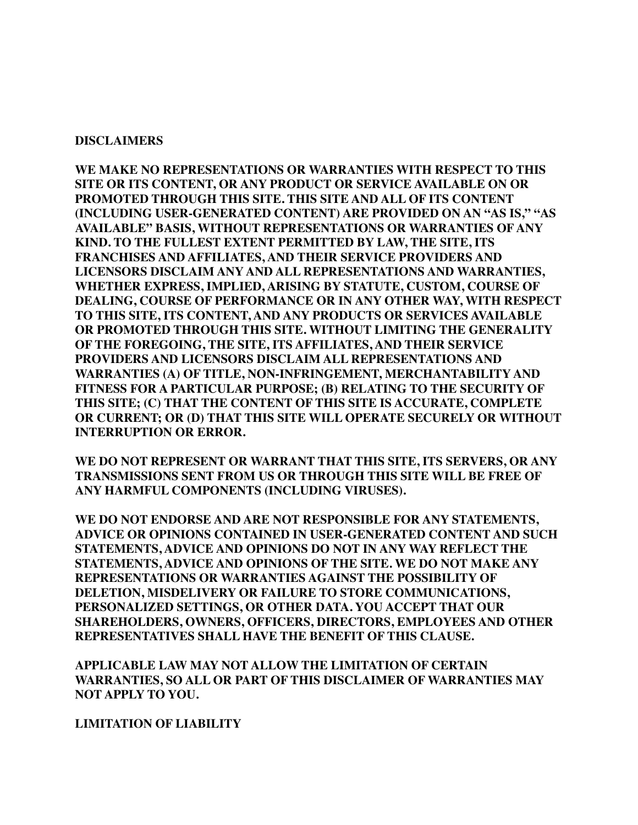### **DISCLAIMERS**

**WE MAKE NO REPRESENTATIONS OR WARRANTIES WITH RESPECT TO THIS SITE OR ITS CONTENT, OR ANY PRODUCT OR SERVICE AVAILABLE ON OR PROMOTED THROUGH THIS SITE. THIS SITE AND ALL OF ITS CONTENT (INCLUDING USER-GENERATED CONTENT) ARE PROVIDED ON AN "AS IS," "AS AVAILABLE" BASIS, WITHOUT REPRESENTATIONS OR WARRANTIES OF ANY KIND. TO THE FULLEST EXTENT PERMITTED BY LAW, THE SITE, ITS FRANCHISES AND AFFILIATES, AND THEIR SERVICE PROVIDERS AND LICENSORS DISCLAIM ANY AND ALL REPRESENTATIONS AND WARRANTIES, WHETHER EXPRESS, IMPLIED, ARISING BY STATUTE, CUSTOM, COURSE OF DEALING, COURSE OF PERFORMANCE OR IN ANY OTHER WAY, WITH RESPECT TO THIS SITE, ITS CONTENT, AND ANY PRODUCTS OR SERVICES AVAILABLE OR PROMOTED THROUGH THIS SITE. WITHOUT LIMITING THE GENERALITY OF THE FOREGOING, THE SITE, ITS AFFILIATES, AND THEIR SERVICE PROVIDERS AND LICENSORS DISCLAIM ALL REPRESENTATIONS AND WARRANTIES (A) OF TITLE, NON-INFRINGEMENT, MERCHANTABILITY AND FITNESS FOR A PARTICULAR PURPOSE; (B) RELATING TO THE SECURITY OF THIS SITE; (C) THAT THE CONTENT OF THIS SITE IS ACCURATE, COMPLETE OR CURRENT; OR (D) THAT THIS SITE WILL OPERATE SECURELY OR WITHOUT INTERRUPTION OR ERROR.** 

**WE DO NOT REPRESENT OR WARRANT THAT THIS SITE, ITS SERVERS, OR ANY TRANSMISSIONS SENT FROM US OR THROUGH THIS SITE WILL BE FREE OF ANY HARMFUL COMPONENTS (INCLUDING VIRUSES).** 

**WE DO NOT ENDORSE AND ARE NOT RESPONSIBLE FOR ANY STATEMENTS, ADVICE OR OPINIONS CONTAINED IN USER-GENERATED CONTENT AND SUCH STATEMENTS, ADVICE AND OPINIONS DO NOT IN ANY WAY REFLECT THE STATEMENTS, ADVICE AND OPINIONS OF THE SITE. WE DO NOT MAKE ANY REPRESENTATIONS OR WARRANTIES AGAINST THE POSSIBILITY OF DELETION, MISDELIVERY OR FAILURE TO STORE COMMUNICATIONS, PERSONALIZED SETTINGS, OR OTHER DATA. YOU ACCEPT THAT OUR SHAREHOLDERS, OWNERS, OFFICERS, DIRECTORS, EMPLOYEES AND OTHER REPRESENTATIVES SHALL HAVE THE BENEFIT OF THIS CLAUSE.** 

**APPLICABLE LAW MAY NOT ALLOW THE LIMITATION OF CERTAIN WARRANTIES, SO ALL OR PART OF THIS DISCLAIMER OF WARRANTIES MAY NOT APPLY TO YOU.** 

**LIMITATION OF LIABILITY**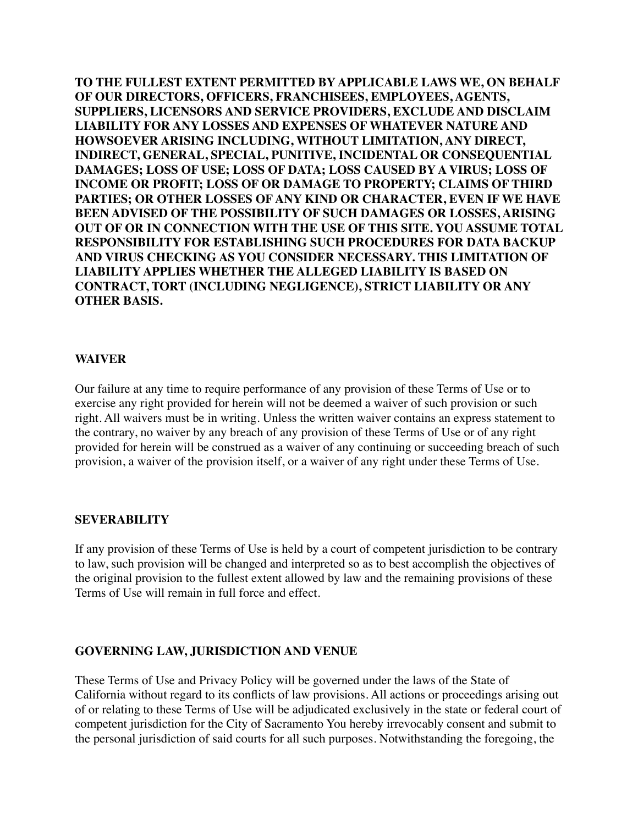**TO THE FULLEST EXTENT PERMITTED BY APPLICABLE LAWS WE, ON BEHALF OF OUR DIRECTORS, OFFICERS, FRANCHISEES, EMPLOYEES, AGENTS, SUPPLIERS, LICENSORS AND SERVICE PROVIDERS, EXCLUDE AND DISCLAIM LIABILITY FOR ANY LOSSES AND EXPENSES OF WHATEVER NATURE AND HOWSOEVER ARISING INCLUDING, WITHOUT LIMITATION, ANY DIRECT, INDIRECT, GENERAL, SPECIAL, PUNITIVE, INCIDENTAL OR CONSEQUENTIAL DAMAGES; LOSS OF USE; LOSS OF DATA; LOSS CAUSED BY A VIRUS; LOSS OF INCOME OR PROFIT; LOSS OF OR DAMAGE TO PROPERTY; CLAIMS OF THIRD PARTIES; OR OTHER LOSSES OF ANY KIND OR CHARACTER, EVEN IF WE HAVE BEEN ADVISED OF THE POSSIBILITY OF SUCH DAMAGES OR LOSSES, ARISING OUT OF OR IN CONNECTION WITH THE USE OF THIS SITE. YOU ASSUME TOTAL RESPONSIBILITY FOR ESTABLISHING SUCH PROCEDURES FOR DATA BACKUP AND VIRUS CHECKING AS YOU CONSIDER NECESSARY. THIS LIMITATION OF LIABILITY APPLIES WHETHER THE ALLEGED LIABILITY IS BASED ON CONTRACT, TORT (INCLUDING NEGLIGENCE), STRICT LIABILITY OR ANY OTHER BASIS.** 

#### **WAIVER**

Our failure at any time to require performance of any provision of these Terms of Use or to exercise any right provided for herein will not be deemed a waiver of such provision or such right. All waivers must be in writing. Unless the written waiver contains an express statement to the contrary, no waiver by any breach of any provision of these Terms of Use or of any right provided for herein will be construed as a waiver of any continuing or succeeding breach of such provision, a waiver of the provision itself, or a waiver of any right under these Terms of Use.

#### **SEVERABILITY**

If any provision of these Terms of Use is held by a court of competent jurisdiction to be contrary to law, such provision will be changed and interpreted so as to best accomplish the objectives of the original provision to the fullest extent allowed by law and the remaining provisions of these Terms of Use will remain in full force and effect.

## **GOVERNING LAW, JURISDICTION AND VENUE**

These Terms of Use and Privacy Policy will be governed under the laws of the State of California without regard to its conflicts of law provisions. All actions or proceedings arising out of or relating to these Terms of Use will be adjudicated exclusively in the state or federal court of competent jurisdiction for the City of Sacramento You hereby irrevocably consent and submit to the personal jurisdiction of said courts for all such purposes. Notwithstanding the foregoing, the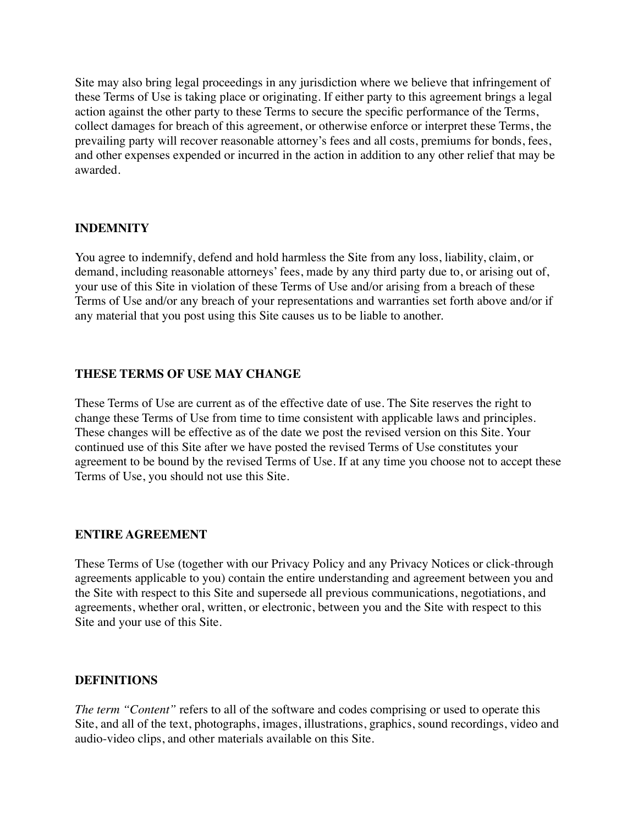Site may also bring legal proceedings in any jurisdiction where we believe that infringement of these Terms of Use is taking place or originating. If either party to this agreement brings a legal action against the other party to these Terms to secure the specific performance of the Terms, collect damages for breach of this agreement, or otherwise enforce or interpret these Terms, the prevailing party will recover reasonable attorney's fees and all costs, premiums for bonds, fees, and other expenses expended or incurred in the action in addition to any other relief that may be awarded.

# **INDEMNITY**

You agree to indemnify, defend and hold harmless the Site from any loss, liability, claim, or demand, including reasonable attorneys' fees, made by any third party due to, or arising out of, your use of this Site in violation of these Terms of Use and/or arising from a breach of these Terms of Use and/or any breach of your representations and warranties set forth above and/or if any material that you post using this Site causes us to be liable to another.

# **THESE TERMS OF USE MAY CHANGE**

These Terms of Use are current as of the effective date of use. The Site reserves the right to change these Terms of Use from time to time consistent with applicable laws and principles. These changes will be effective as of the date we post the revised version on this Site. Your continued use of this Site after we have posted the revised Terms of Use constitutes your agreement to be bound by the revised Terms of Use. If at any time you choose not to accept these Terms of Use, you should not use this Site.

## **ENTIRE AGREEMENT**

These Terms of Use (together with our Privacy Policy and any Privacy Notices or click-through agreements applicable to you) contain the entire understanding and agreement between you and the Site with respect to this Site and supersede all previous communications, negotiations, and agreements, whether oral, written, or electronic, between you and the Site with respect to this Site and your use of this Site.

## **DEFINITIONS**

*The term "Content"* refers to all of the software and codes comprising or used to operate this Site, and all of the text, photographs, images, illustrations, graphics, sound recordings, video and audio-video clips, and other materials available on this Site.